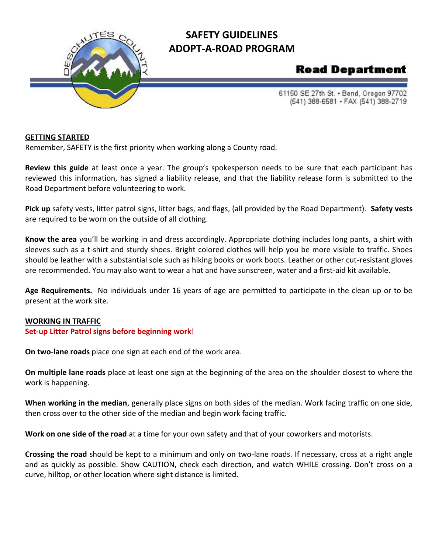

## **SAFETY GUIDELINES ADOPT-A-ROAD PROGRAM**

# **Road Department**

61150 SE 27th St. . Bend, Oregon 97702 (541) 388-6581 · FAX (541) 388-2719

#### **GETTING STARTED**

Remember, SAFETY is the first priority when working along a County road.

**Review this guide** at least once a year. The group's spokesperson needs to be sure that each participant has reviewed this information, has signed a liability release, and that the liability release form is submitted to the Road Department before volunteering to work.

**Pick up** safety vests, litter patrol signs, litter bags, and flags, (all provided by the Road Department). **Safety vests**  are required to be worn on the outside of all clothing.

**Know the area** you'll be working in and dress accordingly. Appropriate clothing includes long pants, a shirt with sleeves such as a t-shirt and sturdy shoes. Bright colored clothes will help you be more visible to traffic. Shoes should be leather with a substantial sole such as hiking books or work boots. Leather or other cut-resistant gloves are recommended. You may also want to wear a hat and have sunscreen, water and a first-aid kit available.

**Age Requirements.** No individuals under 16 years of age are permitted to participate in the clean up or to be present at the work site.

#### **WORKING IN TRAFFIC**

#### **Set-up Litter Patrol signs before beginning work**!

**On two-lane roads** place one sign at each end of the work area.

**On multiple lane roads** place at least one sign at the beginning of the area on the shoulder closest to where the work is happening.

**When working in the median**, generally place signs on both sides of the median. Work facing traffic on one side, then cross over to the other side of the median and begin work facing traffic.

**Work on one side of the road** at a time for your own safety and that of your coworkers and motorists.

**Crossing the road** should be kept to a minimum and only on two-lane roads. If necessary, cross at a right angle and as quickly as possible. Show CAUTION, check each direction, and watch WHILE crossing. Don't cross on a curve, hilltop, or other location where sight distance is limited.